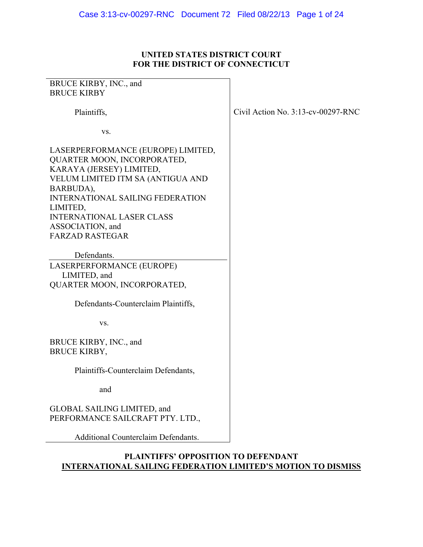## **UNITED STATES DISTRICT COURT FOR THE DISTRICT OF CONNECTICUT**

| BRUCE KIRBY, INC., and                                                                                                                                                                                                                     |                                       |
|--------------------------------------------------------------------------------------------------------------------------------------------------------------------------------------------------------------------------------------------|---------------------------------------|
| <b>BRUCE KIRBY</b>                                                                                                                                                                                                                         |                                       |
| Plaintiffs,                                                                                                                                                                                                                                | Civil Action No. $3:13$ -cv-00297-RNC |
| VS.                                                                                                                                                                                                                                        |                                       |
| LASERPERFORMANCE (EUROPE) LIMITED,<br>QUARTER MOON, INCORPORATED,<br>KARAYA (JERSEY) LIMITED,<br>VELUM LIMITED ITM SA (ANTIGUA AND<br>BARBUDA),<br><b>INTERNATIONAL SAILING FEDERATION</b><br>LIMITED,<br><b>INTERNATIONAL LASER CLASS</b> |                                       |
| ASSOCIATION, and                                                                                                                                                                                                                           |                                       |
| <b>FARZAD RASTEGAR</b>                                                                                                                                                                                                                     |                                       |
| Defendants.<br>LASERPERFORMANCE (EUROPE)<br>LIMITED, and<br>QUARTER MOON, INCORPORATED,                                                                                                                                                    |                                       |
| Defendants-Counterclaim Plaintiffs,                                                                                                                                                                                                        |                                       |
| VS.                                                                                                                                                                                                                                        |                                       |
| BRUCE KIRBY, INC., and<br><b>BRUCE KIRBY,</b>                                                                                                                                                                                              |                                       |
| Plaintiffs-Counterclaim Defendants,                                                                                                                                                                                                        |                                       |
| and                                                                                                                                                                                                                                        |                                       |
| GLOBAL SAILING LIMITED, and<br>PERFORMANCE SAILCRAFT PTY. LTD.,                                                                                                                                                                            |                                       |
| <b>Additional Counterclaim Defendants.</b>                                                                                                                                                                                                 |                                       |

## **PLAINTIFFS' OPPOSITION TO DEFENDANT INTERNATIONAL SAILING FEDERATION LIMITED'S MOTION TO DISMISS**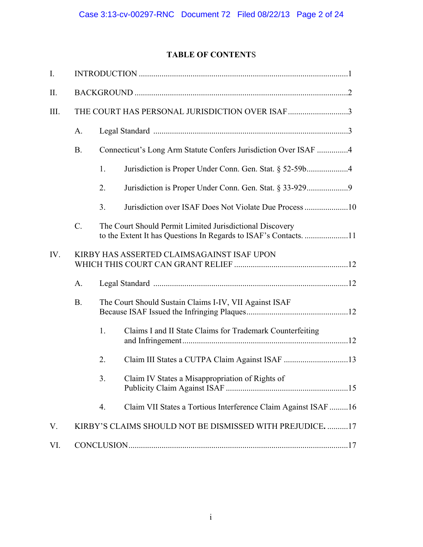# **TABLE OF CONTENT**S

| $\mathbf{I}$ . |                                            |                                                                 |                                                                |  |
|----------------|--------------------------------------------|-----------------------------------------------------------------|----------------------------------------------------------------|--|
| II.            |                                            |                                                                 |                                                                |  |
| III.           |                                            |                                                                 | THE COURT HAS PERSONAL JURISDICTION OVER ISAF 3                |  |
|                | A.                                         |                                                                 |                                                                |  |
|                | <b>B.</b>                                  | Connecticut's Long Arm Statute Confers Jurisdiction Over ISAF 4 |                                                                |  |
|                |                                            | 1.                                                              | Jurisdiction is Proper Under Conn. Gen. Stat. § 52-59b4        |  |
|                |                                            | 2.                                                              | Jurisdiction is Proper Under Conn. Gen. Stat. § 33-9299        |  |
|                |                                            | 3.                                                              |                                                                |  |
|                | $\mathcal{C}$ .                            |                                                                 | The Court Should Permit Limited Jurisdictional Discovery       |  |
| IV.            | KIRBY HAS ASSERTED CLAIMSAGAINST ISAF UPON |                                                                 |                                                                |  |
|                | A.                                         |                                                                 |                                                                |  |
|                | <b>B.</b>                                  | The Court Should Sustain Claims I-IV, VII Against ISAF          |                                                                |  |
|                |                                            | 1.                                                              | Claims I and II State Claims for Trademark Counterfeiting      |  |
|                |                                            | 2.                                                              | Claim III States a CUTPA Claim Against ISAF 13                 |  |
|                |                                            | 3.                                                              | Claim IV States a Misappropriation of Rights of                |  |
|                |                                            | 4.                                                              | Claim VII States a Tortious Interference Claim Against ISAF 16 |  |
| V.             |                                            |                                                                 | KIRBY'S CLAIMS SHOULD NOT BE DISMISSED WITH PREJUDICE. 17      |  |
| VI.            |                                            |                                                                 |                                                                |  |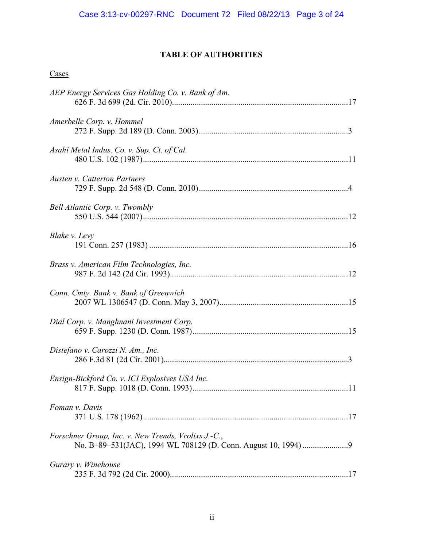## **TABLE OF AUTHORITIES**

# **Cases**

| AEP Energy Services Gas Holding Co. v. Bank of Am.  |  |
|-----------------------------------------------------|--|
| Amerbelle Corp. v. Hommel                           |  |
| Asahi Metal Indus. Co. v. Sup. Ct. of Cal.          |  |
| <b>Austen v. Catterton Partners</b>                 |  |
| <b>Bell Atlantic Corp. v. Twombly</b>               |  |
| Blake v. Levy                                       |  |
| Brass v. American Film Technologies, Inc.           |  |
| Conn. Cmty. Bank v. Bank of Greenwich               |  |
| Dial Corp. v. Manghnani Investment Corp.            |  |
| Distefano v. Carozzi N. Am., Inc.                   |  |
| Ensign-Bickford Co. v. ICI Explosives USA Inc.      |  |
| Foman v. Davis                                      |  |
| Forschner Group, Inc. v. New Trends, Vrolixs J.-C., |  |
| Gurary v. Winehouse                                 |  |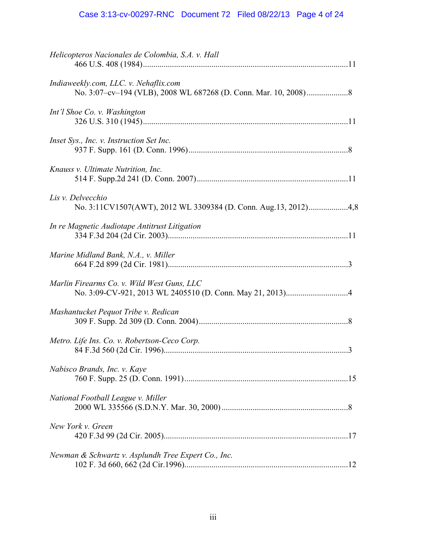# Case 3:13-cv-00297-RNC Document 72 Filed 08/22/13 Page 4 of 24

| Helicopteros Nacionales de Colombia, S.A. v. Hall   |  |
|-----------------------------------------------------|--|
| Indiaweekly.com, LLC. v. Nehaflix.com               |  |
| Int'l Shoe Co. v. Washington                        |  |
| Inset Sys., Inc. v. Instruction Set Inc.            |  |
| Knauss v. Ultimate Nutrition, Inc.                  |  |
| Lis v. Delvecchio                                   |  |
| In re Magnetic Audiotape Antitrust Litigation       |  |
| Marine Midland Bank, N.A., v. Miller                |  |
| Marlin Firearms Co. v. Wild West Guns, LLC          |  |
| Mashantucket Pequot Tribe v. Redican                |  |
| Metro. Life Ins. Co. v. Robertson-Ceco Corp.        |  |
| Nabisco Brands, Inc. v. Kaye                        |  |
| National Football League v. Miller                  |  |
| New York v. Green                                   |  |
| Newman & Schwartz v. Asplundh Tree Expert Co., Inc. |  |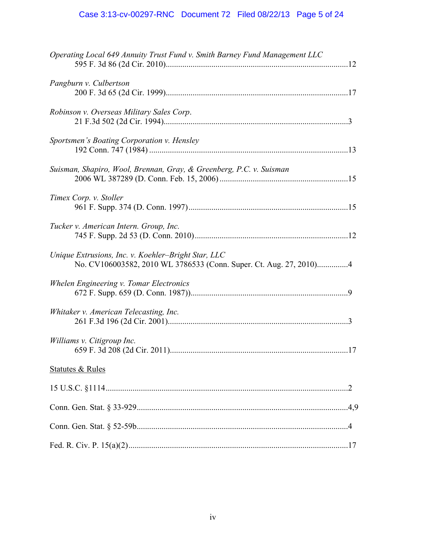# Case 3:13-cv-00297-RNC Document 72 Filed 08/22/13 Page 5 of 24

| Operating Local 649 Annuity Trust Fund v. Smith Barney Fund Management LLC                                                |  |
|---------------------------------------------------------------------------------------------------------------------------|--|
| Pangburn v. Culbertson                                                                                                    |  |
| Robinson v. Overseas Military Sales Corp.                                                                                 |  |
| Sportsmen's Boating Corporation v. Hensley                                                                                |  |
| Suisman, Shapiro, Wool, Brennan, Gray, & Greenberg, P.C. v. Suisman                                                       |  |
| Timex Corp. v. Stoller                                                                                                    |  |
| Tucker v. American Intern. Group, Inc.                                                                                    |  |
| Unique Extrusions, Inc. v. Koehler-Bright Star, LLC<br>No. CV106003582, 2010 WL 3786533 (Conn. Super. Ct. Aug. 27, 2010)4 |  |
| Whelen Engineering v. Tomar Electronics                                                                                   |  |
| Whitaker v. American Telecasting, Inc.                                                                                    |  |
| Williams v. Citigroup Inc.                                                                                                |  |
| <b>Statutes &amp; Rules</b>                                                                                               |  |
|                                                                                                                           |  |
|                                                                                                                           |  |
|                                                                                                                           |  |
|                                                                                                                           |  |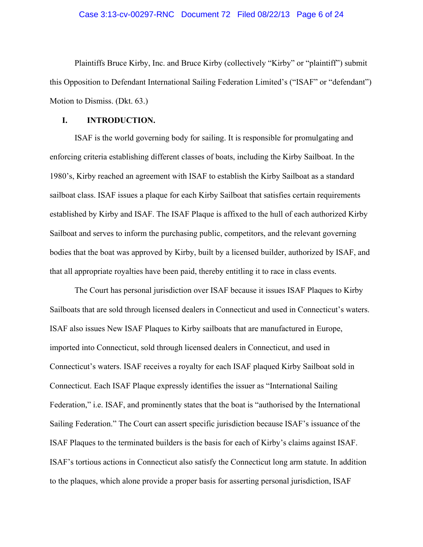#### Case 3:13-cv-00297-RNC Document 72 Filed 08/22/13 Page 6 of 24

Plaintiffs Bruce Kirby, Inc. and Bruce Kirby (collectively "Kirby" or "plaintiff") submit this Opposition to Defendant International Sailing Federation Limited's ("ISAF" or "defendant") Motion to Dismiss. (Dkt. 63.)

### **I. INTRODUCTION.**

 ISAF is the world governing body for sailing. It is responsible for promulgating and enforcing criteria establishing different classes of boats, including the Kirby Sailboat. In the 1980's, Kirby reached an agreement with ISAF to establish the Kirby Sailboat as a standard sailboat class. ISAF issues a plaque for each Kirby Sailboat that satisfies certain requirements established by Kirby and ISAF. The ISAF Plaque is affixed to the hull of each authorized Kirby Sailboat and serves to inform the purchasing public, competitors, and the relevant governing bodies that the boat was approved by Kirby, built by a licensed builder, authorized by ISAF, and that all appropriate royalties have been paid, thereby entitling it to race in class events.

 The Court has personal jurisdiction over ISAF because it issues ISAF Plaques to Kirby Sailboats that are sold through licensed dealers in Connecticut and used in Connecticut's waters. ISAF also issues New ISAF Plaques to Kirby sailboats that are manufactured in Europe, imported into Connecticut, sold through licensed dealers in Connecticut, and used in Connecticut's waters. ISAF receives a royalty for each ISAF plaqued Kirby Sailboat sold in Connecticut. Each ISAF Plaque expressly identifies the issuer as "International Sailing Federation," i.e. ISAF, and prominently states that the boat is "authorised by the International Sailing Federation." The Court can assert specific jurisdiction because ISAF's issuance of the ISAF Plaques to the terminated builders is the basis for each of Kirby's claims against ISAF. ISAF's tortious actions in Connecticut also satisfy the Connecticut long arm statute. In addition to the plaques, which alone provide a proper basis for asserting personal jurisdiction, ISAF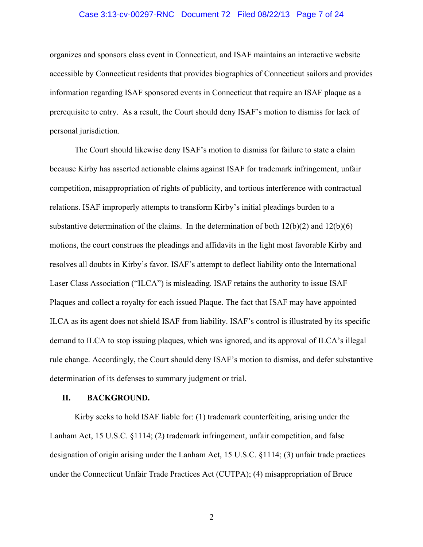#### Case 3:13-cv-00297-RNC Document 72 Filed 08/22/13 Page 7 of 24

organizes and sponsors class event in Connecticut, and ISAF maintains an interactive website accessible by Connecticut residents that provides biographies of Connecticut sailors and provides information regarding ISAF sponsored events in Connecticut that require an ISAF plaque as a prerequisite to entry. As a result, the Court should deny ISAF's motion to dismiss for lack of personal jurisdiction.

 The Court should likewise deny ISAF's motion to dismiss for failure to state a claim because Kirby has asserted actionable claims against ISAF for trademark infringement, unfair competition, misappropriation of rights of publicity, and tortious interference with contractual relations. ISAF improperly attempts to transform Kirby's initial pleadings burden to a substantive determination of the claims. In the determination of both  $12(b)(2)$  and  $12(b)(6)$ motions, the court construes the pleadings and affidavits in the light most favorable Kirby and resolves all doubts in Kirby's favor. ISAF's attempt to deflect liability onto the International Laser Class Association ("ILCA") is misleading. ISAF retains the authority to issue ISAF Plaques and collect a royalty for each issued Plaque. The fact that ISAF may have appointed ILCA as its agent does not shield ISAF from liability. ISAF's control is illustrated by its specific demand to ILCA to stop issuing plaques, which was ignored, and its approval of ILCA's illegal rule change. Accordingly, the Court should deny ISAF's motion to dismiss, and defer substantive determination of its defenses to summary judgment or trial.

## **II. BACKGROUND.**

Kirby seeks to hold ISAF liable for: (1) trademark counterfeiting, arising under the Lanham Act, 15 U.S.C. §1114; (2) trademark infringement, unfair competition, and false designation of origin arising under the Lanham Act, 15 U.S.C. §1114; (3) unfair trade practices under the Connecticut Unfair Trade Practices Act (CUTPA); (4) misappropriation of Bruce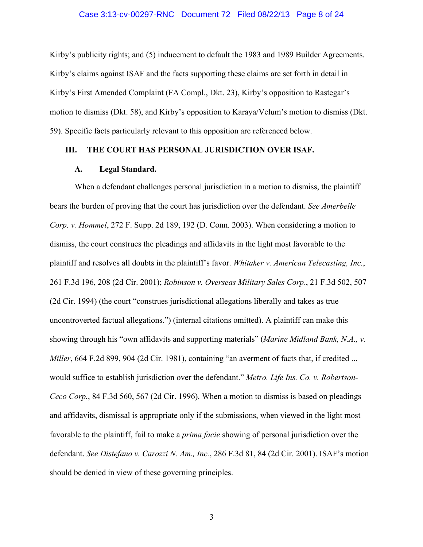#### Case 3:13-cv-00297-RNC Document 72 Filed 08/22/13 Page 8 of 24

Kirby's publicity rights; and (5) inducement to default the 1983 and 1989 Builder Agreements. Kirby's claims against ISAF and the facts supporting these claims are set forth in detail in Kirby's First Amended Complaint (FA Compl., Dkt. 23), Kirby's opposition to Rastegar's motion to dismiss (Dkt. 58), and Kirby's opposition to Karaya/Velum's motion to dismiss (Dkt. 59). Specific facts particularly relevant to this opposition are referenced below.

## **III. THE COURT HAS PERSONAL JURISDICTION OVER ISAF.**

## **A. Legal Standard.**

 When a defendant challenges personal jurisdiction in a motion to dismiss, the plaintiff bears the burden of proving that the court has jurisdiction over the defendant. *See Amerbelle Corp. v. Hommel*, 272 F. Supp. 2d 189, 192 (D. Conn. 2003). When considering a motion to dismiss, the court construes the pleadings and affidavits in the light most favorable to the plaintiff and resolves all doubts in the plaintiff's favor. *Whitaker v. American Telecasting, Inc.*, 261 F.3d 196, 208 (2d Cir. 2001); *Robinson v. Overseas Military Sales Corp*., 21 F.3d 502, 507 (2d Cir. 1994) (the court "construes jurisdictional allegations liberally and takes as true uncontroverted factual allegations.") (internal citations omitted). A plaintiff can make this showing through his "own affidavits and supporting materials" (*Marine Midland Bank, N.A., v. Miller*, 664 F.2d 899, 904 (2d Cir. 1981), containing "an averment of facts that, if credited ... would suffice to establish jurisdiction over the defendant." *Metro. Life Ins. Co. v. Robertson-Ceco Corp.*, 84 F.3d 560, 567 (2d Cir. 1996). When a motion to dismiss is based on pleadings and affidavits, dismissal is appropriate only if the submissions, when viewed in the light most favorable to the plaintiff, fail to make a *prima facie* showing of personal jurisdiction over the defendant. *See Distefano v. Carozzi N. Am., Inc.*, 286 F.3d 81, 84 (2d Cir. 2001). ISAF's motion should be denied in view of these governing principles.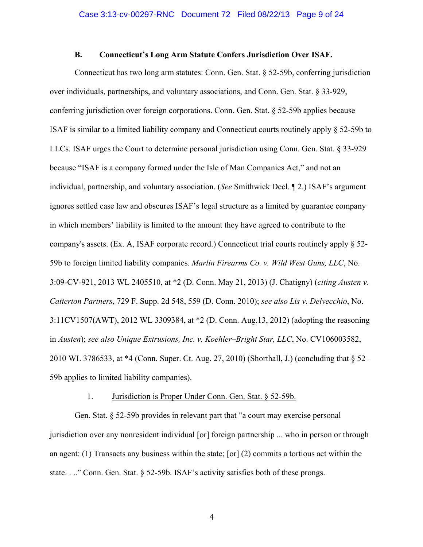## **B. Connecticut's Long Arm Statute Confers Jurisdiction Over ISAF.**

Connecticut has two long arm statutes: Conn. Gen. Stat. § 52-59b, conferring jurisdiction over individuals, partnerships, and voluntary associations, and Conn. Gen. Stat. § 33-929, conferring jurisdiction over foreign corporations. Conn. Gen. Stat. § 52-59b applies because ISAF is similar to a limited liability company and Connecticut courts routinely apply § 52-59b to LLCs. ISAF urges the Court to determine personal jurisdiction using Conn. Gen. Stat. § 33-929 because "ISAF is a company formed under the Isle of Man Companies Act," and not an individual, partnership, and voluntary association. (*See* Smithwick Decl. ¶ 2.) ISAF's argument ignores settled case law and obscures ISAF's legal structure as a limited by guarantee company in which members' liability is limited to the amount they have agreed to contribute to the company's assets. (Ex. A, ISAF corporate record.) Connecticut trial courts routinely apply § 52- 59b to foreign limited liability companies. *Marlin Firearms Co. v. Wild West Guns, LLC*, No. 3:09-CV-921, 2013 WL 2405510, at \*2 (D. Conn. May 21, 2013) (J. Chatigny) (*citing Austen v. Catterton Partners*, 729 F. Supp. 2d 548, 559 (D. Conn. 2010); *see also Lis v. Delvecchio*, No. 3:11CV1507(AWT), 2012 WL 3309384, at \*2 (D. Conn. Aug.13, 2012) (adopting the reasoning in *Austen*); *see also Unique Extrusions, Inc. v. Koehler–Bright Star, LLC*, No. CV106003582, 2010 WL 3786533, at \*4 (Conn. Super. Ct. Aug. 27, 2010) (Shorthall, J.) (concluding that § 52– 59b applies to limited liability companies).

## 1. Jurisdiction is Proper Under Conn. Gen. Stat. § 52-59b.

Gen. Stat. § 52-59b provides in relevant part that "a court may exercise personal jurisdiction over any nonresident individual [or] foreign partnership ... who in person or through an agent: (1) Transacts any business within the state; [or] (2) commits a tortious act within the state. . .." Conn. Gen. Stat. § 52-59b. ISAF's activity satisfies both of these prongs.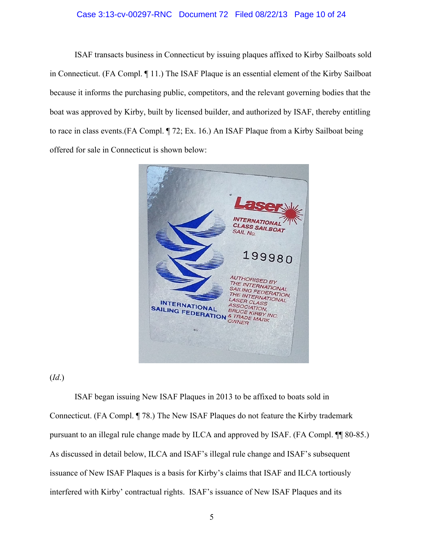## Case 3:13-cv-00297-RNC Document 72 Filed 08/22/13 Page 10 of 24

ISAF transacts business in Connecticut by issuing plaques affixed to Kirby Sailboats sold in Connecticut. (FA Compl. ¶ 11.) The ISAF Plaque is an essential element of the Kirby Sailboat because it informs the purchasing public, competitors, and the relevant governing bodies that the boat was approved by Kirby, built by licensed builder, and authorized by ISAF, thereby entitling to race in class events.(FA Compl. ¶ 72; Ex. 16.) An ISAF Plaque from a Kirby Sailboat being offered for sale in Connecticut is shown below:



(*Id*.)

ISAF began issuing New ISAF Plaques in 2013 to be affixed to boats sold in Connecticut. (FA Compl. ¶ 78.) The New ISAF Plaques do not feature the Kirby trademark pursuant to an illegal rule change made by ILCA and approved by ISAF. (FA Compl. ¶¶ 80-85.) As discussed in detail below, ILCA and ISAF's illegal rule change and ISAF's subsequent issuance of New ISAF Plaques is a basis for Kirby's claims that ISAF and ILCA tortiously interfered with Kirby' contractual rights. ISAF's issuance of New ISAF Plaques and its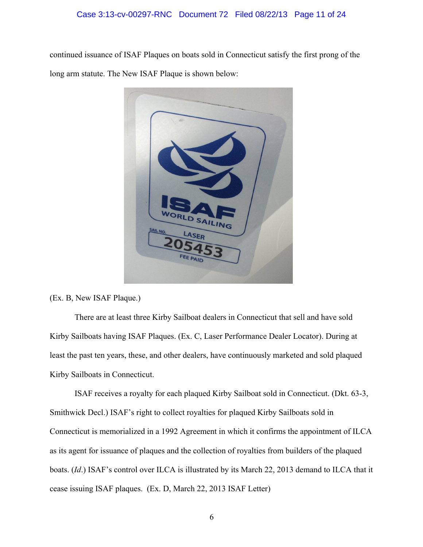continued issuance of ISAF Plaques on boats sold in Connecticut satisfy the first prong of the long arm statute. The New ISAF Plaque is shown below:



(Ex. B, New ISAF Plaque.)

There are at least three Kirby Sailboat dealers in Connecticut that sell and have sold Kirby Sailboats having ISAF Plaques. (Ex. C, Laser Performance Dealer Locator). During at least the past ten years, these, and other dealers, have continuously marketed and sold plaqued Kirby Sailboats in Connecticut.

ISAF receives a royalty for each plaqued Kirby Sailboat sold in Connecticut. (Dkt. 63-3, Smithwick Decl.) ISAF's right to collect royalties for plaqued Kirby Sailboats sold in Connecticut is memorialized in a 1992 Agreement in which it confirms the appointment of ILCA as its agent for issuance of plaques and the collection of royalties from builders of the plaqued boats. (*Id*.) ISAF's control over ILCA is illustrated by its March 22, 2013 demand to ILCA that it cease issuing ISAF plaques. (Ex. D, March 22, 2013 ISAF Letter)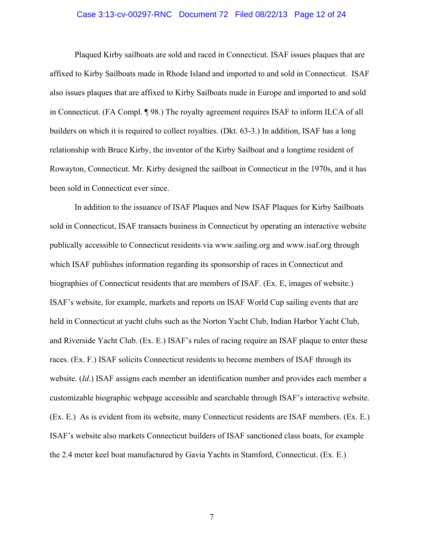#### Case 3:13-cv-00297-RNC Document 72 Filed 08/22/13 Page 12 of 24

Plaqued Kirby sailboats are sold and raced in Connecticut. ISAF issues plaques that are affixed to Kirby Sailboats made in Rhode Island and imported to and sold in Connecticut. ISAF also issues plaques that are affixed to Kirby Sailboats made in Europe and imported to and sold in Connecticut. (FA Compl. ¶ 98.) The royalty agreement requires ISAF to inform ILCA of all builders on which it is required to collect royalties. (Dkt. 63-3.) In addition, ISAF has a long relationship with Bruce Kirby, the inventor of the Kirby Sailboat and a longtime resident of Rowayton, Connecticut. Mr. Kirby designed the sailboat in Connecticut in the 1970s, and it has been sold in Connecticut ever since.

In addition to the issuance of ISAF Plaques and New ISAF Plaques for Kirby Sailboats sold in Connecticut, ISAF transacts business in Connecticut by operating an interactive website publically accessible to Connecticut residents via www.sailing.org and www.isaf.org through which ISAF publishes information regarding its sponsorship of races in Connecticut and biographies of Connecticut residents that are members of ISAF. (Ex. E, images of website.) ISAF's website, for example, markets and reports on ISAF World Cup sailing events that are held in Connecticut at yacht clubs such as the Norton Yacht Club, Indian Harbor Yacht Club, and Riverside Yacht Club. (Ex. E.) ISAF's rules of racing require an ISAF plaque to enter these races. (Ex. F.) ISAF solicits Connecticut residents to become members of ISAF through its website. (*Id*.) ISAF assigns each member an identification number and provides each member a customizable biographic webpage accessible and searchable through ISAF's interactive website. (Ex. E.) As is evident from its website, many Connecticut residents are ISAF members. (Ex. E.) ISAF's website also markets Connecticut builders of ISAF sanctioned class boats, for example the 2.4 meter keel boat manufactured by Gavia Yachts in Stamford, Connecticut. (Ex. E.)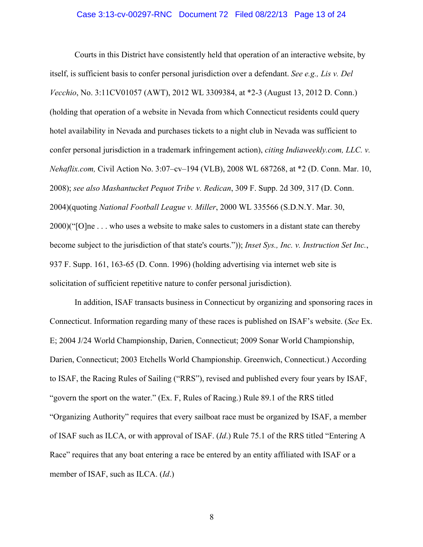#### Case 3:13-cv-00297-RNC Document 72 Filed 08/22/13 Page 13 of 24

Courts in this District have consistently held that operation of an interactive website, by itself, is sufficient basis to confer personal jurisdiction over a defendant. *See e.g., Lis v. Del Vecchio*, No. 3:11CV01057 (AWT), 2012 WL 3309384, at \*2-3 (August 13, 2012 D. Conn.) (holding that operation of a website in Nevada from which Connecticut residents could query hotel availability in Nevada and purchases tickets to a night club in Nevada was sufficient to confer personal jurisdiction in a trademark infringement action), *citing Indiaweekly.com, LLC. v. Nehaflix.com,* Civil Action No. 3:07–cv–194 (VLB), 2008 WL 687268, at \*2 (D. Conn. Mar. 10, 2008); *see also Mashantucket Pequot Tribe v. Redican*, 309 F. Supp. 2d 309, 317 (D. Conn. 2004)(quoting *National Football League v. Miller*, 2000 WL 335566 (S.D.N.Y. Mar. 30, 2000)("[O]ne . . . who uses a website to make sales to customers in a distant state can thereby become subject to the jurisdiction of that state's courts.")); *Inset Sys., Inc. v. Instruction Set Inc.*, 937 F. Supp. 161, 163-65 (D. Conn. 1996) (holding advertising via internet web site is solicitation of sufficient repetitive nature to confer personal jurisdiction).

In addition, ISAF transacts business in Connecticut by organizing and sponsoring races in Connecticut. Information regarding many of these races is published on ISAF's website. (*See* Ex. E; 2004 J/24 World Championship, Darien, Connecticut; 2009 Sonar World Championship, Darien, Connecticut; 2003 Etchells World Championship. Greenwich, Connecticut.) According to ISAF, the Racing Rules of Sailing ("RRS"), revised and published every four years by ISAF, "govern the sport on the water." (Ex. F, Rules of Racing.) Rule 89.1 of the RRS titled "Organizing Authority" requires that every sailboat race must be organized by ISAF, a member of ISAF such as ILCA, or with approval of ISAF. (*Id*.) Rule 75.1 of the RRS titled "Entering A Race" requires that any boat entering a race be entered by an entity affiliated with ISAF or a member of ISAF, such as ILCA. (*Id*.)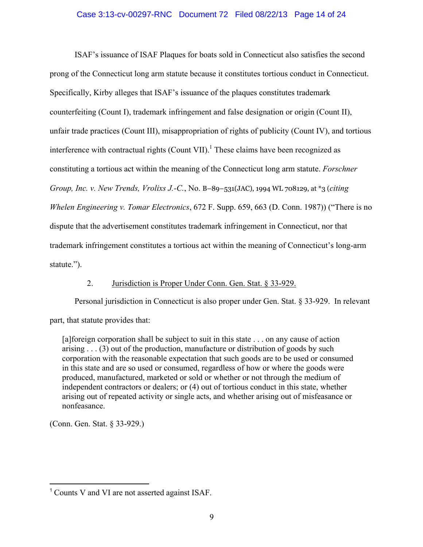## Case 3:13-cv-00297-RNC Document 72 Filed 08/22/13 Page 14 of 24

ISAF's issuance of ISAF Plaques for boats sold in Connecticut also satisfies the second prong of the Connecticut long arm statute because it constitutes tortious conduct in Connecticut. Specifically, Kirby alleges that ISAF's issuance of the plaques constitutes trademark counterfeiting (Count I), trademark infringement and false designation or origin (Count II), unfair trade practices (Count III), misappropriation of rights of publicity (Count IV), and tortious interference with contractual rights  $(Count VII)$ .<sup>1</sup> These claims have been recognized as constituting a tortious act within the meaning of the Connecticut long arm statute. *Forschner Group, Inc. v. New Trends, Vrolixs J.-C.*, No. B–89–531(JAC), 1994 WL 708129, at \*3 (*citing Whelen Engineering v. Tomar Electronics*, 672 F. Supp. 659, 663 (D. Conn. 1987)) ("There is no dispute that the advertisement constitutes trademark infringement in Connecticut, nor that trademark infringement constitutes a tortious act within the meaning of Connecticut's long-arm statute.").

## 2. Jurisdiction is Proper Under Conn. Gen. Stat. § 33-929.

 Personal jurisdiction in Connecticut is also proper under Gen. Stat. § 33-929. In relevant part, that statute provides that:

[a]foreign corporation shall be subject to suit in this state . . . on any cause of action arising . . . (3) out of the production, manufacture or distribution of goods by such corporation with the reasonable expectation that such goods are to be used or consumed in this state and are so used or consumed, regardless of how or where the goods were produced, manufactured, marketed or sold or whether or not through the medium of independent contractors or dealers; or (4) out of tortious conduct in this state, whether arising out of repeated activity or single acts, and whether arising out of misfeasance or nonfeasance.

(Conn. Gen. Stat. § 33-929.)

 $\overline{a}$ 

<sup>1</sup> Counts V and VI are not asserted against ISAF.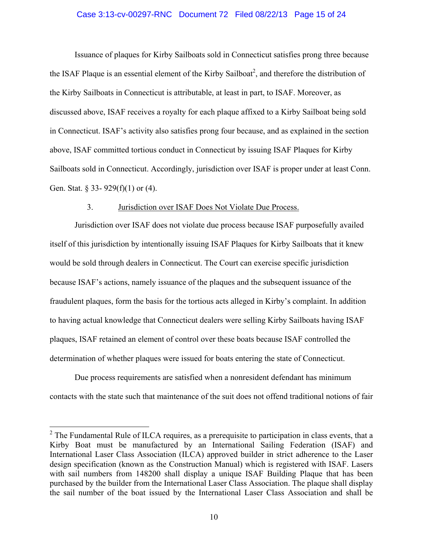#### Case 3:13-cv-00297-RNC Document 72 Filed 08/22/13 Page 15 of 24

 Issuance of plaques for Kirby Sailboats sold in Connecticut satisfies prong three because the ISAF Plaque is an essential element of the Kirby Sailboat<sup>2</sup>, and therefore the distribution of the Kirby Sailboats in Connecticut is attributable, at least in part, to ISAF. Moreover, as discussed above, ISAF receives a royalty for each plaque affixed to a Kirby Sailboat being sold in Connecticut. ISAF's activity also satisfies prong four because, and as explained in the section above, ISAF committed tortious conduct in Connecticut by issuing ISAF Plaques for Kirby Sailboats sold in Connecticut. Accordingly, jurisdiction over ISAF is proper under at least Conn. Gen. Stat. § 33- 929(f)(1) or (4).

#### 3. Jurisdiction over ISAF Does Not Violate Due Process.

Jurisdiction over ISAF does not violate due process because ISAF purposefully availed itself of this jurisdiction by intentionally issuing ISAF Plaques for Kirby Sailboats that it knew would be sold through dealers in Connecticut. The Court can exercise specific jurisdiction because ISAF's actions, namely issuance of the plaques and the subsequent issuance of the fraudulent plaques, form the basis for the tortious acts alleged in Kirby's complaint. In addition to having actual knowledge that Connecticut dealers were selling Kirby Sailboats having ISAF plaques, ISAF retained an element of control over these boats because ISAF controlled the determination of whether plaques were issued for boats entering the state of Connecticut.

Due process requirements are satisfied when a nonresident defendant has minimum contacts with the state such that maintenance of the suit does not offend traditional notions of fair

 $\overline{a}$ 

 $2^2$  The Fundamental Rule of ILCA requires, as a prerequisite to participation in class events, that a Kirby Boat must be manufactured by an International Sailing Federation (ISAF) and International Laser Class Association (ILCA) approved builder in strict adherence to the Laser design specification (known as the Construction Manual) which is registered with ISAF. Lasers with sail numbers from 148200 shall display a unique ISAF Building Plaque that has been purchased by the builder from the International Laser Class Association. The plaque shall display the sail number of the boat issued by the International Laser Class Association and shall be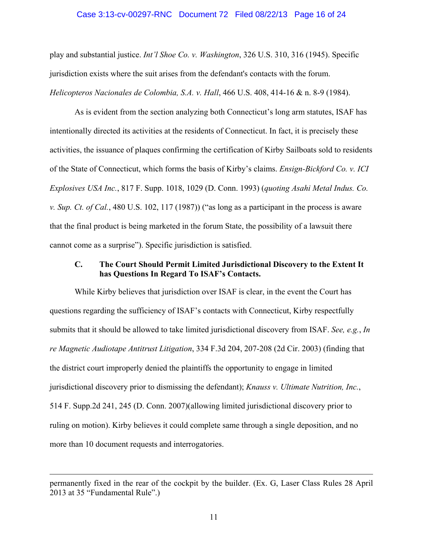## Case 3:13-cv-00297-RNC Document 72 Filed 08/22/13 Page 16 of 24

play and substantial justice. *Int'l Shoe Co. v. Washington*, 326 U.S. 310, 316 (1945). Specific jurisdiction exists where the suit arises from the defendant's contacts with the forum. *Helicopteros Nacionales de Colombia, S.A. v. Hall*, 466 U.S. 408, 414-16 & n. 8-9 (1984).

As is evident from the section analyzing both Connecticut's long arm statutes, ISAF has intentionally directed its activities at the residents of Connecticut. In fact, it is precisely these activities, the issuance of plaques confirming the certification of Kirby Sailboats sold to residents of the State of Connecticut, which forms the basis of Kirby's claims. *Ensign-Bickford Co. v. ICI Explosives USA Inc.*, 817 F. Supp. 1018, 1029 (D. Conn. 1993) (*quoting Asahi Metal Indus. Co. v. Sup. Ct. of Cal.*, 480 U.S. 102, 117 (1987)) ("as long as a participant in the process is aware that the final product is being marketed in the forum State, the possibility of a lawsuit there cannot come as a surprise"). Specific jurisdiction is satisfied.

## **C. The Court Should Permit Limited Jurisdictional Discovery to the Extent It has Questions In Regard To ISAF's Contacts.**

While Kirby believes that jurisdiction over ISAF is clear, in the event the Court has questions regarding the sufficiency of ISAF's contacts with Connecticut, Kirby respectfully submits that it should be allowed to take limited jurisdictional discovery from ISAF. *See, e.g.*, *In re Magnetic Audiotape Antitrust Litigation*, 334 F.3d 204, 207-208 (2d Cir. 2003) (finding that the district court improperly denied the plaintiffs the opportunity to engage in limited jurisdictional discovery prior to dismissing the defendant); *Knauss v. Ultimate Nutrition, Inc.*, 514 F. Supp.2d 241, 245 (D. Conn. 2007)(allowing limited jurisdictional discovery prior to ruling on motion). Kirby believes it could complete same through a single deposition, and no more than 10 document requests and interrogatories.

 $\overline{a}$ 

permanently fixed in the rear of the cockpit by the builder. (Ex. G, Laser Class Rules 28 April 2013 at 35 "Fundamental Rule".)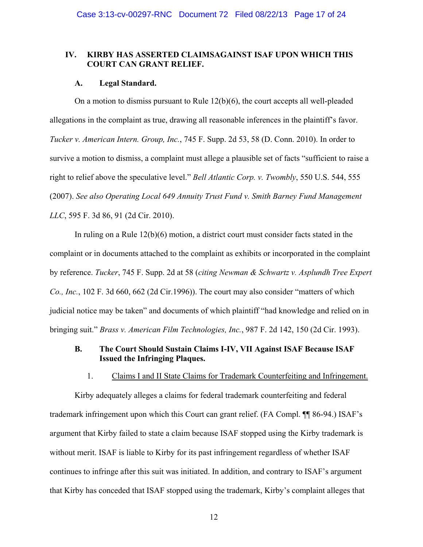## **IV. KIRBY HAS ASSERTED CLAIMSAGAINST ISAF UPON WHICH THIS COURT CAN GRANT RELIEF.**

### **A. Legal Standard.**

On a motion to dismiss pursuant to Rule 12(b)(6), the court accepts all well-pleaded allegations in the complaint as true, drawing all reasonable inferences in the plaintiff's favor. *Tucker v. American Intern. Group, Inc.*, 745 F. Supp. 2d 53, 58 (D. Conn. 2010). In order to survive a motion to dismiss, a complaint must allege a plausible set of facts "sufficient to raise a right to relief above the speculative level." *Bell Atlantic Corp. v. Twombly*, 550 U.S. 544, 555 (2007). *See also Operating Local 649 Annuity Trust Fund v. Smith Barney Fund Management LLC*, 595 F. 3d 86, 91 (2d Cir. 2010).

In ruling on a Rule 12(b)(6) motion, a district court must consider facts stated in the complaint or in documents attached to the complaint as exhibits or incorporated in the complaint by reference. *Tucker*, 745 F. Supp. 2d at 58 (*citing Newman & Schwartz v. Asplundh Tree Expert Co., Inc.*, 102 F. 3d 660, 662 (2d Cir.1996)). The court may also consider "matters of which judicial notice may be taken" and documents of which plaintiff "had knowledge and relied on in bringing suit." *Brass v. American Film Technologies, Inc.*, 987 F. 2d 142, 150 (2d Cir. 1993).

## **B. The Court Should Sustain Claims I-IV, VII Against ISAF Because ISAF Issued the Infringing Plaques.**

1. Claims I and II State Claims for Trademark Counterfeiting and Infringement.

 Kirby adequately alleges a claims for federal trademark counterfeiting and federal trademark infringement upon which this Court can grant relief. (FA Compl. ¶¶ 86-94.) ISAF's argument that Kirby failed to state a claim because ISAF stopped using the Kirby trademark is without merit. ISAF is liable to Kirby for its past infringement regardless of whether ISAF continues to infringe after this suit was initiated. In addition, and contrary to ISAF's argument that Kirby has conceded that ISAF stopped using the trademark, Kirby's complaint alleges that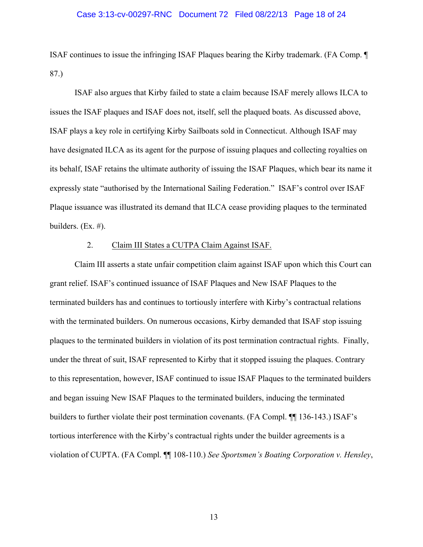#### Case 3:13-cv-00297-RNC Document 72 Filed 08/22/13 Page 18 of 24

ISAF continues to issue the infringing ISAF Plaques bearing the Kirby trademark. (FA Comp. ¶ 87.)

 ISAF also argues that Kirby failed to state a claim because ISAF merely allows ILCA to issues the ISAF plaques and ISAF does not, itself, sell the plaqued boats. As discussed above, ISAF plays a key role in certifying Kirby Sailboats sold in Connecticut. Although ISAF may have designated ILCA as its agent for the purpose of issuing plaques and collecting royalties on its behalf, ISAF retains the ultimate authority of issuing the ISAF Plaques, which bear its name it expressly state "authorised by the International Sailing Federation." ISAF's control over ISAF Plaque issuance was illustrated its demand that ILCA cease providing plaques to the terminated builders. (Ex. #).

#### 2. Claim III States a CUTPA Claim Against ISAF.

 Claim III asserts a state unfair competition claim against ISAF upon which this Court can grant relief. ISAF's continued issuance of ISAF Plaques and New ISAF Plaques to the terminated builders has and continues to tortiously interfere with Kirby's contractual relations with the terminated builders. On numerous occasions, Kirby demanded that ISAF stop issuing plaques to the terminated builders in violation of its post termination contractual rights. Finally, under the threat of suit, ISAF represented to Kirby that it stopped issuing the plaques. Contrary to this representation, however, ISAF continued to issue ISAF Plaques to the terminated builders and began issuing New ISAF Plaques to the terminated builders, inducing the terminated builders to further violate their post termination covenants. (FA Compl. ¶¶ 136-143.) ISAF's tortious interference with the Kirby's contractual rights under the builder agreements is a violation of CUPTA. (FA Compl. ¶¶ 108-110.) *See Sportsmen's Boating Corporation v. Hensley*,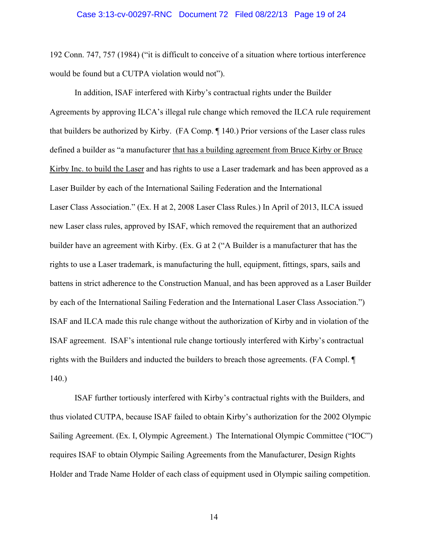192 Conn. 747, 757 (1984) ("it is difficult to conceive of a situation where tortious interference would be found but a CUTPA violation would not").

 In addition, ISAF interfered with Kirby's contractual rights under the Builder Agreements by approving ILCA's illegal rule change which removed the ILCA rule requirement that builders be authorized by Kirby. (FA Comp. ¶ 140.) Prior versions of the Laser class rules defined a builder as "a manufacturer that has a building agreement from Bruce Kirby or Bruce Kirby Inc. to build the Laser and has rights to use a Laser trademark and has been approved as a Laser Builder by each of the International Sailing Federation and the International Laser Class Association." (Ex. H at 2, 2008 Laser Class Rules.) In April of 2013, ILCA issued new Laser class rules, approved by ISAF, which removed the requirement that an authorized builder have an agreement with Kirby. (Ex. G at 2 ("A Builder is a manufacturer that has the rights to use a Laser trademark, is manufacturing the hull, equipment, fittings, spars, sails and battens in strict adherence to the Construction Manual, and has been approved as a Laser Builder by each of the International Sailing Federation and the International Laser Class Association.") ISAF and ILCA made this rule change without the authorization of Kirby and in violation of the ISAF agreement. ISAF's intentional rule change tortiously interfered with Kirby's contractual rights with the Builders and inducted the builders to breach those agreements. (FA Compl. ¶ 140.)

 ISAF further tortiously interfered with Kirby's contractual rights with the Builders, and thus violated CUTPA, because ISAF failed to obtain Kirby's authorization for the 2002 Olympic Sailing Agreement. (Ex. I, Olympic Agreement.) The International Olympic Committee ("IOC") requires ISAF to obtain Olympic Sailing Agreements from the Manufacturer, Design Rights Holder and Trade Name Holder of each class of equipment used in Olympic sailing competition.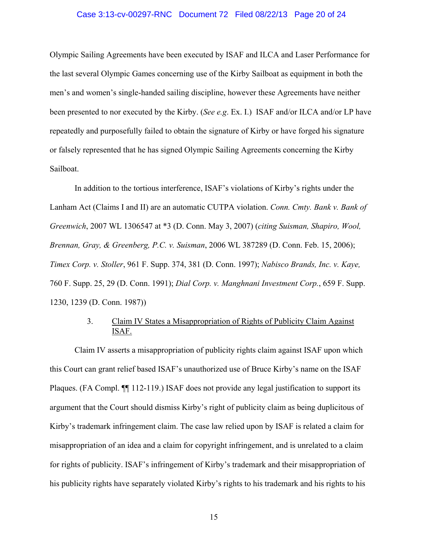#### Case 3:13-cv-00297-RNC Document 72 Filed 08/22/13 Page 20 of 24

Olympic Sailing Agreements have been executed by ISAF and ILCA and Laser Performance for the last several Olympic Games concerning use of the Kirby Sailboat as equipment in both the men's and women's single-handed sailing discipline, however these Agreements have neither been presented to nor executed by the Kirby. (*See e.g*. Ex. I.) ISAF and/or ILCA and/or LP have repeatedly and purposefully failed to obtain the signature of Kirby or have forged his signature or falsely represented that he has signed Olympic Sailing Agreements concerning the Kirby Sailboat.

 In addition to the tortious interference, ISAF's violations of Kirby's rights under the Lanham Act (Claims I and II) are an automatic CUTPA violation. *Conn. Cmty. Bank v. Bank of Greenwich*, 2007 WL 1306547 at \*3 (D. Conn. May 3, 2007) (*citing Suisman, Shapiro, Wool, Brennan, Gray, & Greenberg, P.C. v. Suisman*, 2006 WL 387289 (D. Conn. Feb. 15, 2006); *Timex Corp. v. Stoller*, 961 F. Supp. 374, 381 (D. Conn. 1997); *Nabisco Brands, Inc. v. Kaye,* 760 F. Supp. 25, 29 (D. Conn. 1991); *Dial Corp. v. Manghnani Investment Corp.*, 659 F. Supp. 1230, 1239 (D. Conn. 1987))

## 3. Claim IV States a Misappropriation of Rights of Publicity Claim Against ISAF.

 Claim IV asserts a misappropriation of publicity rights claim against ISAF upon which this Court can grant relief based ISAF's unauthorized use of Bruce Kirby's name on the ISAF Plaques. (FA Compl. ¶¶ 112-119.) ISAF does not provide any legal justification to support its argument that the Court should dismiss Kirby's right of publicity claim as being duplicitous of Kirby's trademark infringement claim. The case law relied upon by ISAF is related a claim for misappropriation of an idea and a claim for copyright infringement, and is unrelated to a claim for rights of publicity. ISAF's infringement of Kirby's trademark and their misappropriation of his publicity rights have separately violated Kirby's rights to his trademark and his rights to his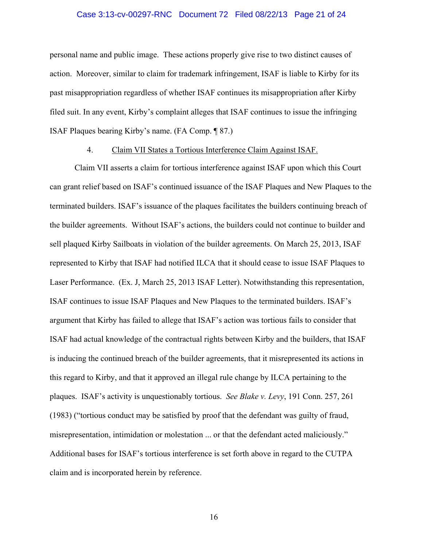#### Case 3:13-cv-00297-RNC Document 72 Filed 08/22/13 Page 21 of 24

personal name and public image. These actions properly give rise to two distinct causes of action. Moreover, similar to claim for trademark infringement, ISAF is liable to Kirby for its past misappropriation regardless of whether ISAF continues its misappropriation after Kirby filed suit. In any event, Kirby's complaint alleges that ISAF continues to issue the infringing ISAF Plaques bearing Kirby's name. (FA Comp. ¶ 87.)

## 4. Claim VII States a Tortious Interference Claim Against ISAF.

 Claim VII asserts a claim for tortious interference against ISAF upon which this Court can grant relief based on ISAF's continued issuance of the ISAF Plaques and New Plaques to the terminated builders. ISAF's issuance of the plaques facilitates the builders continuing breach of the builder agreements. Without ISAF's actions, the builders could not continue to builder and sell plaqued Kirby Sailboats in violation of the builder agreements. On March 25, 2013, ISAF represented to Kirby that ISAF had notified ILCA that it should cease to issue ISAF Plaques to Laser Performance. (Ex. J, March 25, 2013 ISAF Letter). Notwithstanding this representation, ISAF continues to issue ISAF Plaques and New Plaques to the terminated builders. ISAF's argument that Kirby has failed to allege that ISAF's action was tortious fails to consider that ISAF had actual knowledge of the contractual rights between Kirby and the builders, that ISAF is inducing the continued breach of the builder agreements, that it misrepresented its actions in this regard to Kirby, and that it approved an illegal rule change by ILCA pertaining to the plaques. ISAF's activity is unquestionably tortious. *See Blake v. Levy*, 191 Conn. 257, 261 (1983) ("tortious conduct may be satisfied by proof that the defendant was guilty of fraud, misrepresentation, intimidation or molestation ... or that the defendant acted maliciously." Additional bases for ISAF's tortious interference is set forth above in regard to the CUTPA claim and is incorporated herein by reference.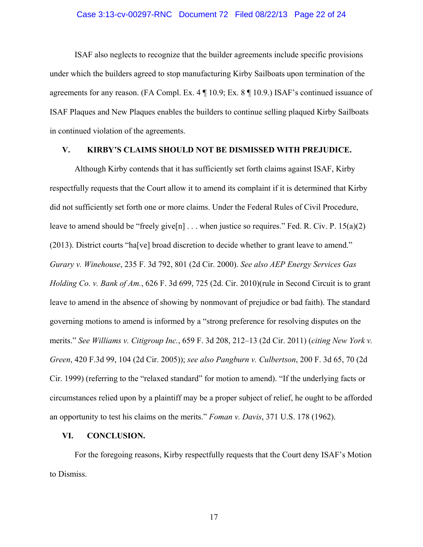#### Case 3:13-cv-00297-RNC Document 72 Filed 08/22/13 Page 22 of 24

 ISAF also neglects to recognize that the builder agreements include specific provisions under which the builders agreed to stop manufacturing Kirby Sailboats upon termination of the agreements for any reason. (FA Compl. Ex. 4 ¶ 10.9; Ex. 8 ¶ 10.9.) ISAF's continued issuance of ISAF Plaques and New Plaques enables the builders to continue selling plaqued Kirby Sailboats in continued violation of the agreements.

## **V. KIRBY'S CLAIMS SHOULD NOT BE DISMISSED WITH PREJUDICE.**

Although Kirby contends that it has sufficiently set forth claims against ISAF, Kirby respectfully requests that the Court allow it to amend its complaint if it is determined that Kirby did not sufficiently set forth one or more claims. Under the Federal Rules of Civil Procedure, leave to amend should be "freely give[n]  $\ldots$  when justice so requires." Fed. R. Civ. P. 15(a)(2) (2013). District courts "ha[ve] broad discretion to decide whether to grant leave to amend." *Gurary v. Winehouse*, 235 F. 3d 792, 801 (2d Cir. 2000). *See also AEP Energy Services Gas Holding Co. v. Bank of Am.*, 626 F. 3d 699, 725 (2d. Cir. 2010)(rule in Second Circuit is to grant leave to amend in the absence of showing by nonmovant of prejudice or bad faith). The standard governing motions to amend is informed by a "strong preference for resolving disputes on the merits." *See Williams v. Citigroup Inc.*, 659 F. 3d 208, 212–13 (2d Cir. 2011) (*citing New York v. Green*, 420 F.3d 99, 104 (2d Cir. 2005)); *see also Pangburn v. Culbertson*, 200 F. 3d 65, 70 (2d Cir. 1999) (referring to the "relaxed standard" for motion to amend). "If the underlying facts or circumstances relied upon by a plaintiff may be a proper subject of relief, he ought to be afforded an opportunity to test his claims on the merits." *Foman v. Davis*, 371 U.S. 178 (1962).

#### **VI. CONCLUSION.**

For the foregoing reasons, Kirby respectfully requests that the Court deny ISAF's Motion to Dismiss.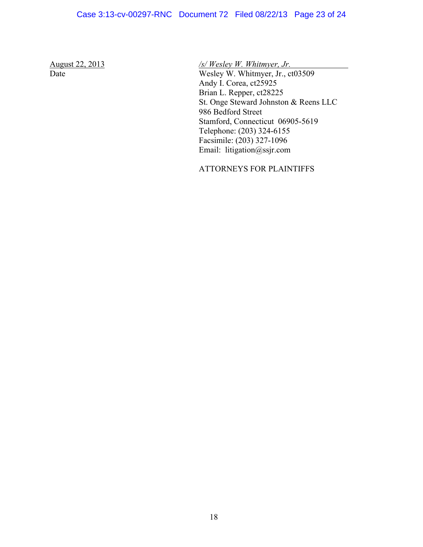## Case 3:13-cv-00297-RNC Document 72 Filed 08/22/13 Page 23 of 24

August 22, 2013 */s/ Wesley W. Whitmyer, Jr.* 

Date Wesley W. Whitmyer, Jr., ct03509 Andy I. Corea, ct25925 Brian L. Repper, ct28225 St. Onge Steward Johnston & Reens LLC 986 Bedford Street Stamford, Connecticut 06905-5619 Telephone: (203) 324-6155 Facsimile: (203) 327-1096 Email: litigation@ssjr.com

ATTORNEYS FOR PLAINTIFFS